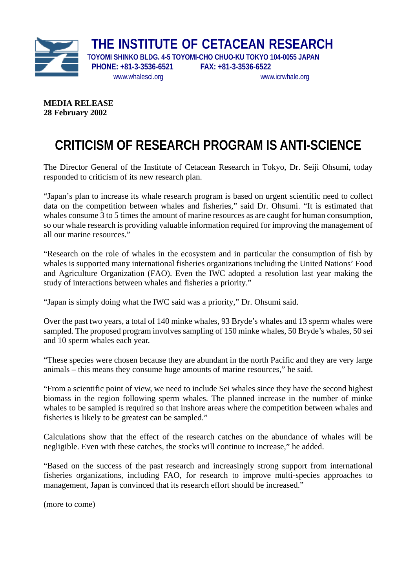

**THE INSTITUTE OF CETACEAN RESEARCH** 

 **PHONE: +81-3-3536-6521 FAX: +81-3-3536-6522**

 **TOYOMI SHINKO BLDG. 4-5 TOYOMI-CHO CHUO-KU TOKYO 104-0055 JAPAN**  [www.whalesci.org](http://www.whalesci.org/) www.icrwhale.org

**MEDIA RELEASE 28 February 2002** 

## **CRITICISM OF RESEARCH PROGRAM IS ANTI-SCIENCE**

The Director General of the Institute of Cetacean Research in Tokyo, Dr. Seiji Ohsumi, today responded to criticism of its new research plan.

"Japan's plan to increase its whale research program is based on urgent scientific need to collect data on the competition between whales and fisheries," said Dr. Ohsumi. "It is estimated that whales consume 3 to 5 times the amount of marine resources as are caught for human consumption, so our whale research is providing valuable information required for improving the management of all our marine resources."

"Research on the role of whales in the ecosystem and in particular the consumption of fish by whales is supported many international fisheries organizations including the United Nations' Food and Agriculture Organization (FAO). Even the IWC adopted a resolution last year making the study of interactions between whales and fisheries a priority."

"Japan is simply doing what the IWC said was a priority," Dr. Ohsumi said.

Over the past two years, a total of 140 minke whales, 93 Bryde's whales and 13 sperm whales were sampled. The proposed program involves sampling of 150 minke whales, 50 Bryde's whales, 50 sei and 10 sperm whales each year.

"These species were chosen because they are abundant in the north Pacific and they are very large animals – this means they consume huge amounts of marine resources," he said.

"From a scientific point of view, we need to include Sei whales since they have the second highest biomass in the region following sperm whales. The planned increase in the number of minke whales to be sampled is required so that inshore areas where the competition between whales and fisheries is likely to be greatest can be sampled."

Calculations show that the effect of the research catches on the abundance of whales will be negligible. Even with these catches, the stocks will continue to increase," he added.

"Based on the success of the past research and increasingly strong support from international fisheries organizations, including FAO, for research to improve multi-species approaches to management, Japan is convinced that its research effort should be increased."

(more to come)